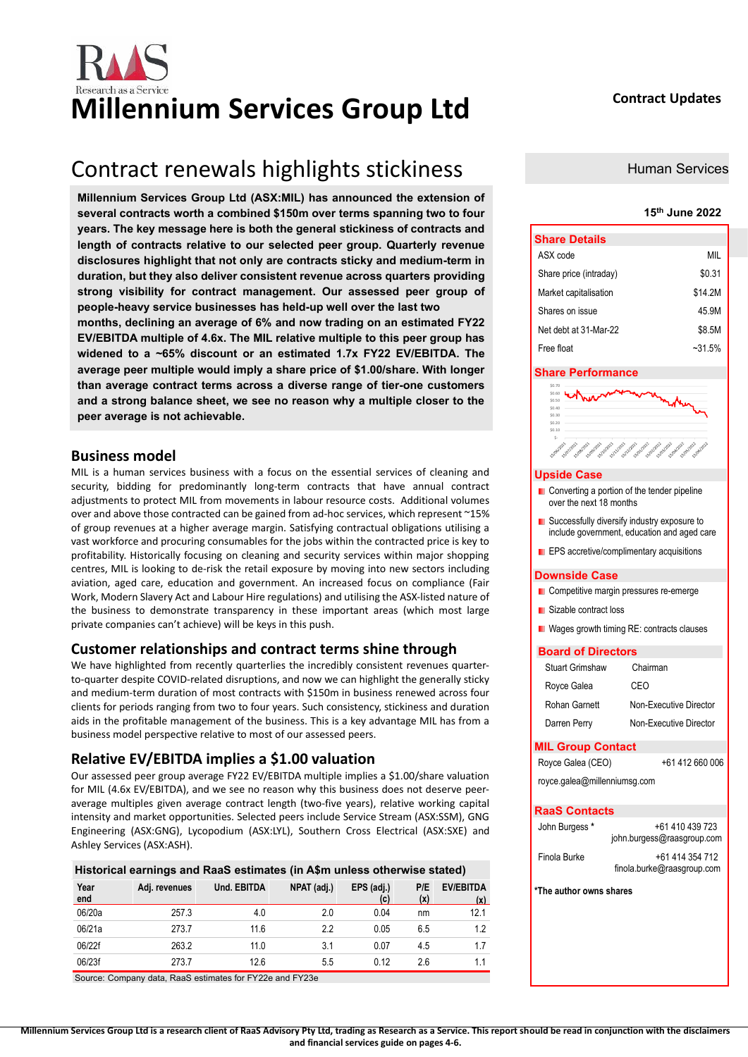

# Research as a Service **Millennium Services Group Ltd Contract Updates**

### Contract renewals highlights stickiness

**Millennium Services Group Ltd (ASX:MIL) has announced the extension of several contracts worth a combined \$150m over terms spanning two to four years. The key message here is both the general stickiness of contracts and length of contracts relative to our selected peer group. Quarterly revenue disclosures highlight that not only are contracts sticky and medium-term in duration, but they also deliver consistent revenue across quarters providing strong visibility for contract management. Our assessed peer group of people-heavy service businesses has held-up well over the last two** 

**months, declining an average of 6% and now trading on an estimated FY22 EV/EBITDA multiple of 4.6x. The MIL relative multiple to this peer group has widened to a ~65% discount or an estimated 1.7x FY22 EV/EBITDA. The average peer multiple would imply a share price of \$1.00/share. With longer than average contract terms across a diverse range of tier-one customers and a strong balance sheet, we see no reason why a multiple closer to the peer average is not achievable.**

### **Business model**

MIL is a human services business with a focus on the essential services of cleaning and security, bidding for predominantly long-term contracts that have annual contract adjustments to protect MIL from movements in labour resource costs. Additional volumes over and above those contracted can be gained from ad-hoc services, which represent ~15% of group revenues at a higher average margin. Satisfying contractual obligations utilising a vast workforce and procuring consumables for the jobs within the contracted price is key to profitability. Historically focusing on cleaning and security services within major shopping centres, MIL is looking to de-risk the retail exposure by moving into new sectors including aviation, aged care, education and government. An increased focus on compliance (Fair Work, Modern Slavery Act and Labour Hire regulations) and utilising the ASX-listed nature of the business to demonstrate transparency in these important areas (which most large private companies can't achieve) will be keys in this push.

### **Customer relationships and contract terms shine through**

We have highlighted from recently quarterlies the incredibly consistent revenues quarterto-quarter despite COVID-related disruptions, and now we can highlight the generally sticky and medium-term duration of most contracts with \$150m in business renewed across four clients for periods ranging from two to four years. Such consistency, stickiness and duration aids in the profitable management of the business. This is a key advantage MIL has from a business model perspective relative to most of our assessed peers.

### **Relative EV/EBITDA implies a \$1.00 valuation**

Our assessed peer group average FY22 EV/EBITDA multiple implies a \$1.00/share valuation for MIL (4.6x EV/EBITDA), and we see no reason why this business does not deserve peeraverage multiples given average contract length (two-five years), relative working capital intensity and market opportunities. Selected peers include Service Stream (ASX:SSM), GNG Engineering (ASX:GNG), Lycopodium (ASX:LYL), Southern Cross Electrical (ASX:SXE) and Ashley Services (ASX:ASH).

| Historical earnings and RaaS estimates (in A\$m unless otherwise stated) |               |                    |             |                   |            |                         |  |  |
|--------------------------------------------------------------------------|---------------|--------------------|-------------|-------------------|------------|-------------------------|--|--|
| Year<br>end                                                              | Adj. revenues | <b>Und. EBITDA</b> | NPAT (adj.) | EPS (adj.)<br>(c) | P/E<br>(x) | <b>EV/EBITDA</b><br>(x) |  |  |
| 06/20a                                                                   | 257.3         | 4.0                | 2.0         | 0.04              | nm         | 12.1                    |  |  |
| 06/21a                                                                   | 273.7         | 11.6               | 2.2         | 0.05              | 6.5        | 12                      |  |  |
| 06/22f                                                                   | 263.2         | 11.0               | 3.1         | 0.07              | 4.5        | 1.7                     |  |  |
| 06/23f                                                                   | 273.7         | 12.6               | 5.5         | 0.12              | 2.6        |                         |  |  |

Source: Company data, RaaS estimates for FY22e and FY23e

Human Services

### **15th June 2022**

| <b>Share Details</b>   |          |
|------------------------|----------|
| ASX code               | MII      |
| Share price (intraday) | \$0.31   |
| Market capitalisation  | \$14.2M  |
| Shares on issue        | 45.9M    |
| Net debt at 31-Mar-22  | \$8.5M   |
| Free float             | $-31.5%$ |

### **Share Performance**

| \$0.50<br>\$0,40 |                                                                    |                                                                                                                                |
|------------------|--------------------------------------------------------------------|--------------------------------------------------------------------------------------------------------------------------------|
| \$0.30           |                                                                    |                                                                                                                                |
| \$0.20           |                                                                    |                                                                                                                                |
| \$0.10           |                                                                    |                                                                                                                                |
| S-               |                                                                    |                                                                                                                                |
| 15/06/2021       | <b>Siggilar</b><br>Silahan.<br><b>Sylonizon</b><br><b>Signifie</b> | <b>Silberton</b><br>Sjouren<br><b>Silah</b> 2022<br><b>Sylphon</b><br><b>Sigurpaz</b><br><b>150/03/2022</b><br><b>SULLABRA</b> |

### **Upside Case**

- Converting a portion of the tender pipeline over the next 18 months
- Successfully diversify industry exposure to include government, education and aged care
- **EPS** accretive/complimentary acquisitions

### **Downside Case**

- **Competitive margin pressures re-emerge**
- **Sizable contract loss**
- **Nages growth timing RE: contracts clauses**

### **Board of Directors**

| Royce Galea         | CEO                    |  |  |  |  |  |  |
|---------------------|------------------------|--|--|--|--|--|--|
| Rohan Garnett       | Non-Executive Director |  |  |  |  |  |  |
| Darren Perry        | Non-Executive Director |  |  |  |  |  |  |
| $2$ inin $P$ antaat |                        |  |  |  |  |  |  |

### **MIL Group Contact**  Royce Galea (CEO) +61 412 660 006

[royce.galea@millenniumsg.com](about:blank) 

### **RaaS Contacts**

| John Burgess * | +61 410 439 723<br>john.burgess@raasgroup.com |
|----------------|-----------------------------------------------|
| Finola Burke   | +61 414 354 712<br>finola.burke@raasgroup.com |

**\*The author owns shares**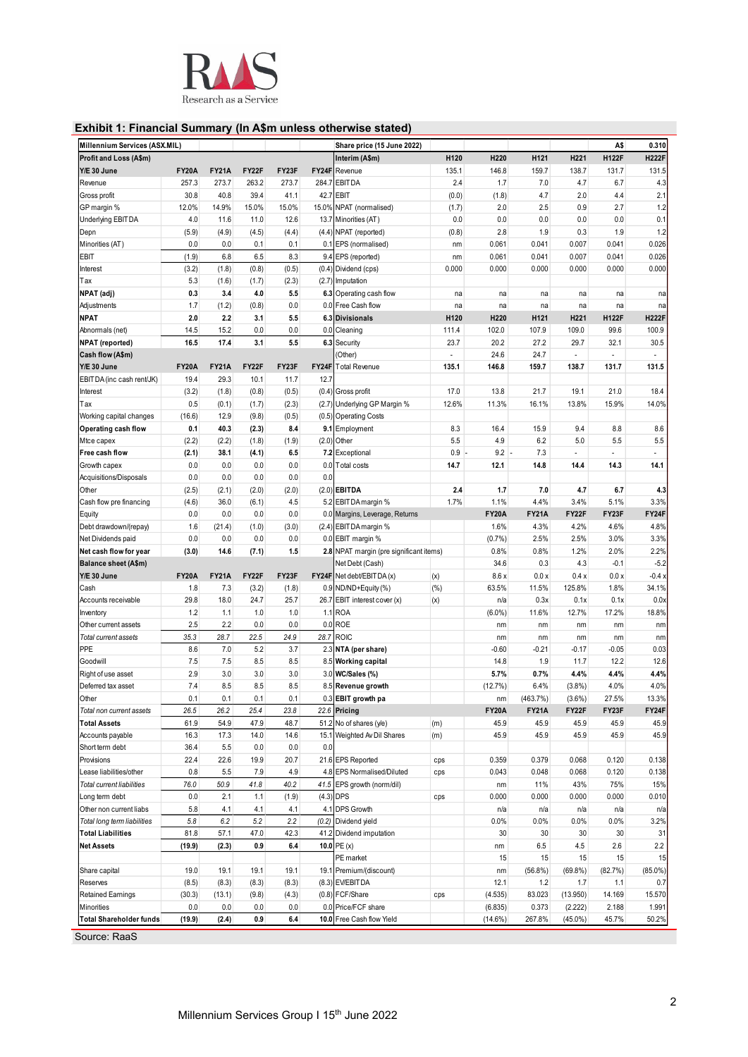

### **Exhibit 1: Financial Summary (In A\$m unless otherwise stated)**

| Millennium Services (ASX.MIL)            |              |              |             |              | Share price (15 June 2022) |                                         |       |                    |                      | A\$            | 0.310        |              |
|------------------------------------------|--------------|--------------|-------------|--------------|----------------------------|-----------------------------------------|-------|--------------------|----------------------|----------------|--------------|--------------|
| Profit and Loss (A\$m)                   |              |              |             |              |                            | Interim (A\$m)                          | H120  | H220               | H121                 | H221           | <b>H122F</b> | <b>H222F</b> |
| Y/E 30 June                              | <b>FY20A</b> | <b>FY21A</b> | FY22F       | FY23F        | FY24F                      | Revenue                                 | 135.1 | 146.8              | 159.7                | 138.7          | 131.7        | 131.5        |
| Revenue                                  | 257.3        | 273.7        | 263.2       | 273.7        | 284.7                      | <b>EBITDA</b>                           | 2.4   | 1.7                | 7.0                  | 4.7            | 6.7          | 4.3          |
| Gross profit                             | 30.8         | 40.8         | 39.4        | 41.1         |                            | 42.7 EBIT                               | (0.0) | (1.8)              | 4.7                  | 2.0            | 4.4          | 2.1          |
| GP margin %                              | 12.0%        | 14.9%        | 15.0%       | 15.0%        |                            | 15.0% NPAT (normalised)                 | (1.7) | 2.0                | 2.5                  | 0.9            | 2.7          | 1.2          |
| Underlying EBIT DA                       | 4.0          | 11.6         | 11.0        | 12.6         |                            | 13.7 Minorities (AT)                    | 0.0   | 0.0                | 0.0                  | 0.0            | 0.0          | 0.1          |
| Depn                                     | (5.9)        | (4.9)        | (4.5)       | (4.4)        |                            | (4.4) NPAT (reported)                   | (0.8) | 2.8                | 1.9                  | 0.3            | 1.9          | 1.2          |
| Minorities (AT)                          | 0.0          | 0.0          | 0.1         | 0.1          | 0.1                        | EPS (normalised)                        | nm    | 0.061              | 0.041                | 0.007          | 0.041        | 0.026        |
| EBIT                                     | (1.9)        | 6.8          | 6.5         | 8.3          |                            | 9.4 EPS (reported)                      | nm    | 0.061              | 0.041                | 0.007          | 0.041        | 0.026        |
| Interest                                 | (3.2)        | (1.8)        | (0.8)       | (0.5)        |                            | (0.4) Dividend (cps)                    | 0.000 | 0.000              | 0.000                | 0.000          | 0.000        | 0.000        |
| Tax                                      | 5.3          | (1.6)        | (1.7)       | (2.3)        |                            | (2.7) Imputation                        |       |                    |                      |                |              |              |
| NPAT (adj)                               | 0.3          | 3.4          | 4.0         | 5.5          |                            | 6.3 Operating cash flow                 | na    | na                 | na                   | na             | na           | na           |
| Adjustments                              | 1.7          | (1.2)        | (0.8)       | 0.0          |                            | 0.0 Free Cash flow                      | na    | na                 | na                   | na             | na           | na           |
| <b>NPAT</b>                              | 2.0          | 2.2          | 3.1         | 5.5          |                            | <b>6.3 Divisionals</b>                  | H120  | H220               | H <sub>121</sub>     | H221           | <b>H122F</b> | <b>H222F</b> |
| Abnormals (net)                          | 14.5         | 15.2         | 0.0         | 0.0          | 0.0                        | Cleaning                                | 111.4 | 102.0              | 107.9                | 109.0          | 99.6         | 100.9        |
| <b>NPAT</b> (reported)                   | 16.5         | 17.4         | 3.1         | 5.5          |                            | 6.3 Security                            | 23.7  | 20.2               | 27.2                 | 29.7           | 32.1         | 30.5         |
| Cash flow (A\$m)                         |              |              |             |              |                            | (Other)                                 | ÷     | 24.6               | 24.7                 | ÷.             | ÷.           | $\sim$       |
| Y/E 30 June                              | <b>FY20A</b> | <b>FY21A</b> | FY22F       | FY23F        | FY24F                      | <b>Total Revenue</b>                    | 135.1 | 146.8              | 159.7                | 138.7          | 131.7        | 131.5        |
| EBITDA (inc cash rent/JK)                | 19.4         | 29.3         | 10.1        | 11.7         | 12.7                       |                                         |       |                    |                      |                |              |              |
| Interest                                 | (3.2)        | (1.8)        | (0.8)       | (0.5)        |                            | (0.4) Gross profit                      | 17.0  | 13.8               | 21.7                 | 19.1           | 21.0         | 18.4         |
| Тах                                      | 0.5          | (0.1)        | (1.7)       | (2.3)        | (2.7)                      | Underlying GP Margin %                  | 12.6% | 11.3%              | 16.1%                | 13.8%          | 15.9%        | 14.0%        |
| Working capital changes                  | (16.6)       | 12.9         | (9.8)       | (0.5)        |                            | (0.5) Operating Costs                   |       |                    |                      |                |              |              |
| Operating cash flow                      | 0.1          | 40.3         | (2.3)       | 8.4          |                            | 9.1 Employment                          | 8.3   | 16.4               | 15.9                 | 9.4            | 8.8          | 8.6          |
| Mtce capex                               | (2.2)        | (2.2)        | (1.8)       | (1.9)        |                            | $(2.0)$ Other                           | 5.5   | 4.9                | 6.2                  | 5.0            | 5.5          | 5.5          |
| Free cash flow                           | (2.1)        | 38.1         | (4.1)       | 6.5          |                            | 7.2 Exceptional                         | 0.9   | 9.2                | 7.3                  | ÷.             | ÷.           | ÷.           |
| Growth capex                             | 0.0          | 0.0          | 0.0         | 0.0          | 0.0                        | Total costs                             | 14.7  | 12.1               | 14.8                 | 14.4           | 14.3         | 14.1         |
| Acquisitions/Disposals                   | 0.0          | 0.0          | 0.0         | 0.0          | 0.0                        |                                         |       |                    |                      |                |              |              |
| Other                                    | (2.5)        | (2.1)        | (2.0)       | (2.0)        |                            | $(2.0)$ EBITDA                          | 2.4   | 1.7                | 7.0                  | 4.7            | 6.7          | 4.3          |
| Cash flow pre financing                  | (4.6)        | 36.0         | (6.1)       | 4.5          |                            | 5.2 EBITDA margin %                     | 1.7%  | 1.1%               | 4.4%                 | 3.4%           | 5.1%         | 3.3%         |
| Equity                                   | 0.0          | 0.0          | 0.0         | 0.0          |                            | 0.0 Margins, Leverage, Returns          |       | <b>FY20A</b>       | <b>FY21A</b>         | FY22F          | FY23F        | FY24F        |
| Debt drawdown/(repay)                    | 1.6          | (21.4)       | (1.0)       | (3.0)        |                            | (2.4) EBITDA margin %                   |       | 1.6%               | 4.3%                 | 4.2%           | 4.6%         | 4.8%         |
| Net Dividends paid                       | 0.0          | 0.0          | 0.0         | 0.0          |                            | 0.0 EBIT margin %                       |       | (0.7%              | 2.5%                 | 2.5%           | 3.0%         | 3.3%         |
| Net cash flow for year                   | (3.0)        | 14.6         | (7.1)       | 1.5          |                            | 2.8 NPAT margin (pre significant items) |       | 0.8%               | 0.8%                 | 1.2%           | 2.0%         | 2.2%         |
| Balance sheet (A\$m)                     |              |              |             |              |                            | Net Debt (Cash)                         |       | 34.6               | 0.3                  | 4.3            | $-0.1$       | $-5.2$       |
| Y/E 30 June                              | <b>FY20A</b> | <b>FY21A</b> | FY22F       | FY23F        |                            | FY24F Net debt/EBITDA(x)                | (x)   | 8.6x               | 0.0 x                | 0.4x           | 0.0 x        | $-0.4x$      |
| Cash                                     | 1.8          | 7.3          | (3.2)       | (1.8)        |                            | 0.9 ND/ND+Equity (%)                    | (%)   | 63.5%              | 11.5%                | 125.8%         | 1.8%         | 34.1%        |
| Accounts receivable                      | 29.8         | 18.0         | 24.7        | 25.7         |                            | 26.7 EBIT interest cover (x)            | (x)   | n/a                | 0.3x                 | 0.1x           | 0.1x         | 0.0x         |
| Inventory                                | 1.2          | 1.1          | 1.0         | 1.0          | 1.1                        | <b>ROA</b>                              |       | $(6.0\%)$          | 11.6%                | 12.7%          | 17.2%        | 18.8%        |
| Other current assets                     | 2.5          | 2.2          | 0.0         | 0.0          |                            | 0.0 ROE                                 |       | nm                 |                      | nm             | nm           | nm           |
| Total current assets                     | 35.3         | 28.7         | 22.5        | 24.9         | 28.7                       | <b>ROIC</b>                             |       | nm                 | nm<br>nm             | nm             | nm           | nm           |
| PPE                                      | 8.6          | 7.0          | 5.2         | 3.7          |                            | 2.3 NTA (per share)                     |       | $-0.60$            | $-0.21$              | $-0.17$        | $-0.05$      | 0.03         |
| Goodwill                                 | 7.5          | 7.5          | 8.5         | 8.5          |                            | 8.5 Working capital                     |       | 14.8               | 1.9                  | 11.7           | 12.2         | 12.6         |
|                                          |              | 3.0          | 3.0         | 3.0          |                            | 3.0 WC/Sales (%)                        |       |                    |                      |                | 4.4%         |              |
| Right of use asset<br>Deferred tax asset | 2.9<br>7.4   | 8.5          | 8.5         | 8.5          |                            |                                         |       | 5.7%<br>(12.7%)    | 0.7%<br>6.4%         | 4.4%<br>(3.8%) | 4.0%         | 4.4%<br>4.0% |
| Other                                    | 0.1          |              |             | 0.1          |                            | 8.5 Revenue growth                      |       |                    | (463.7%)             | (3.6%)         | 27.5%        | 13.3%        |
| Total non current assets                 | 26.5         | 0.1<br>26.2  | 0.1<br>25.4 |              |                            | 0.3 EBIT growth pa<br>22.6 Pricing      |       | nm<br><b>FY20A</b> |                      | FY22F          | FY23F        | FY24F        |
| <b>Total Assets</b>                      | 61.9         | 54.9         | 47.9        | 23.8<br>48.7 |                            | 51.2 No of shares (y/e)                 |       | 45.9               | <b>FY21A</b><br>45.9 | 45.9           | 45.9         | 45.9         |
|                                          |              |              |             | 14.6         |                            |                                         | (m)   | 45.9               | 45.9                 | 45.9           | 45.9         | 45.9         |
| Accounts payable                         | 16.3         | 17.3         | 14.0        |              |                            | 15.1 Weighted Av Dil Shares             | (m)   |                    |                      |                |              |              |
| Short term debt                          | 36.4         | 5.5          | 0.0         | 0.0          | 0.0                        |                                         |       |                    |                      |                |              |              |
| Provisions                               | 22.4         | 22.6         | 19.9        | 20.7         |                            | 21.6 EPS Reported                       | cps   | 0.359              | 0.379                | 0.068          | 0.120        | 0.138        |
| Lease liabilities/other                  | 0.8          | 5.5          | 7.9         | 4.9          |                            | 4.8 EPS Normalised/Diluted              | cps   | 0.043              | 0.048                | 0.068          | 0.120        | 0.138        |
| Total current liabilities                | 76.0         | 50.9         | 41.8        | 40.2         |                            | 41.5 EPS growth (norm/dil)              |       | nm                 | 11%                  | 43%            | 75%          | 15%          |
| Long term debt                           | 0.0          | 2.1          | 1.1         | (1.9)        |                            | $(4.3)$ DPS                             | cps   | 0.000              | 0.000                | 0.000          | 0.000        | 0.010        |
| Other non current liabs                  | 5.8          | 4.1          | 4.1         | 4.1          |                            | 4.1 DPS Growth                          |       | n/a                | n/a                  | n/a            | n/a          | n/a          |
| Total long term liabilities              | 5.8          | 6.2          | 5.2         | 2.2          |                            | (0.2) Dividend yield                    |       | 0.0%               | 0.0%                 | 0.0%           | 0.0%         | 3.2%         |
| <b>Total Liabilities</b>                 | 81.8         | 57.1         | 47.0        | 42.3         |                            | 41.2 Dividend imputation                |       | 30                 | 30                   | 30             | 30           | 31           |
| <b>Net Assets</b>                        | (19.9)       | (2.3)        | 0.9         | 6.4          |                            | 10.0 $PE(x)$                            |       | nm                 | 6.5                  | 4.5            | 2.6          | 2.2          |
|                                          |              |              |             |              |                            | PE market                               |       | 15                 | 15                   | 15             | 15           | 15           |
| Share capital                            | 19.0         | 19.1         | 19.1        | 19.1         |                            | 19.1 Premium/(discount)                 |       | nm                 | $(56.8\%)$           | (69.8%)        | (82.7%)      | $(85.0\%)$   |
| Reserves                                 | (8.5)        | (8.3)        | (8.3)       | (8.3)        |                            | (8.3) EV/EBITDA                         |       | 12.1               | $1.2$                | 1.7            | 1.1          | 0.7          |
| <b>Retained Earnings</b>                 | (30.3)       | (13.1)       | (9.8)       | (4.3)        |                            | (0.8) FCF/Share                         | cps   | (4.535)            | 83.023               | (13.950)       | 14.169       | 15.570       |
| Minorities                               | 0.0          | 0.0          | 0.0         | 0.0          |                            | 0.0 Price/FCF share                     |       | (6.835)            | 0.373                | (2.222)        | 2.188        | 1.991        |
| <b>Total Shareholder funds</b>           | (19.9)       | (2.4)        | 0.9         | 6.4          |                            | 10.0 Free Cash flow Yield               |       | (14.6%)            | 267.8%               | $(45.0\%)$     | 45.7%        | 50.2%        |

Source: RaaS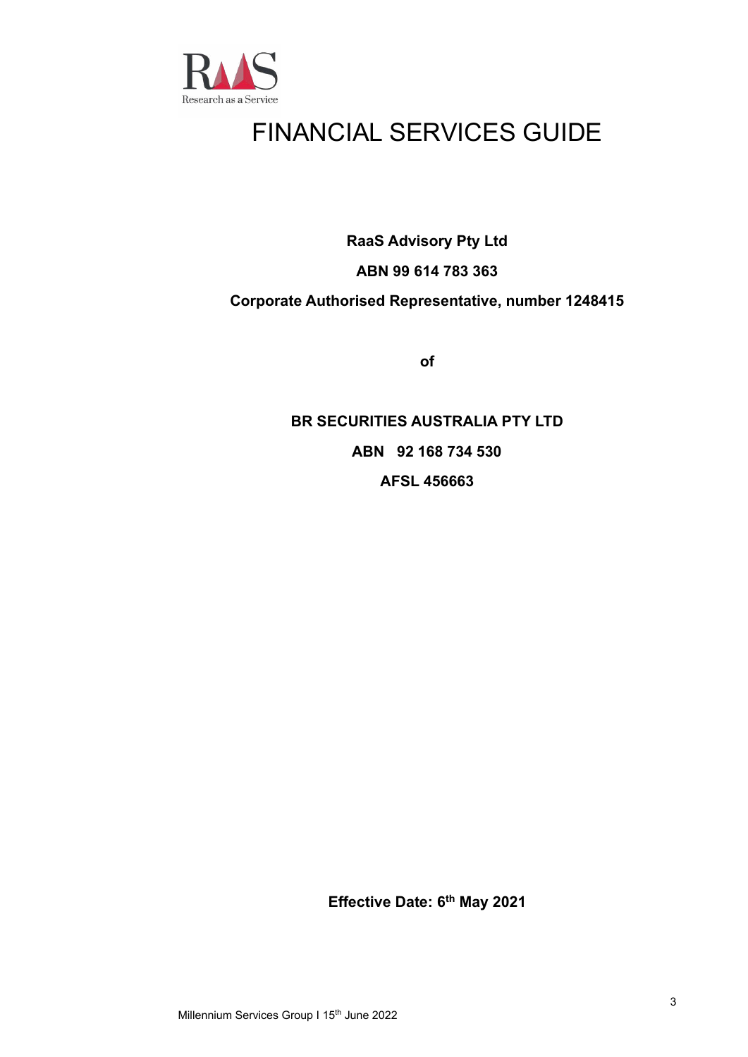

## FINANCIAL SERVICES GUIDE

**RaaS Advisory Pty Ltd**

### **ABN 99 614 783 363**

### **Corporate Authorised Representative, number 1248415**

**of**

### **BR SECURITIES AUSTRALIA PTY LTD ABN 92 168 734 530 AFSL 456663**

**Effective Date: 6th May 2021**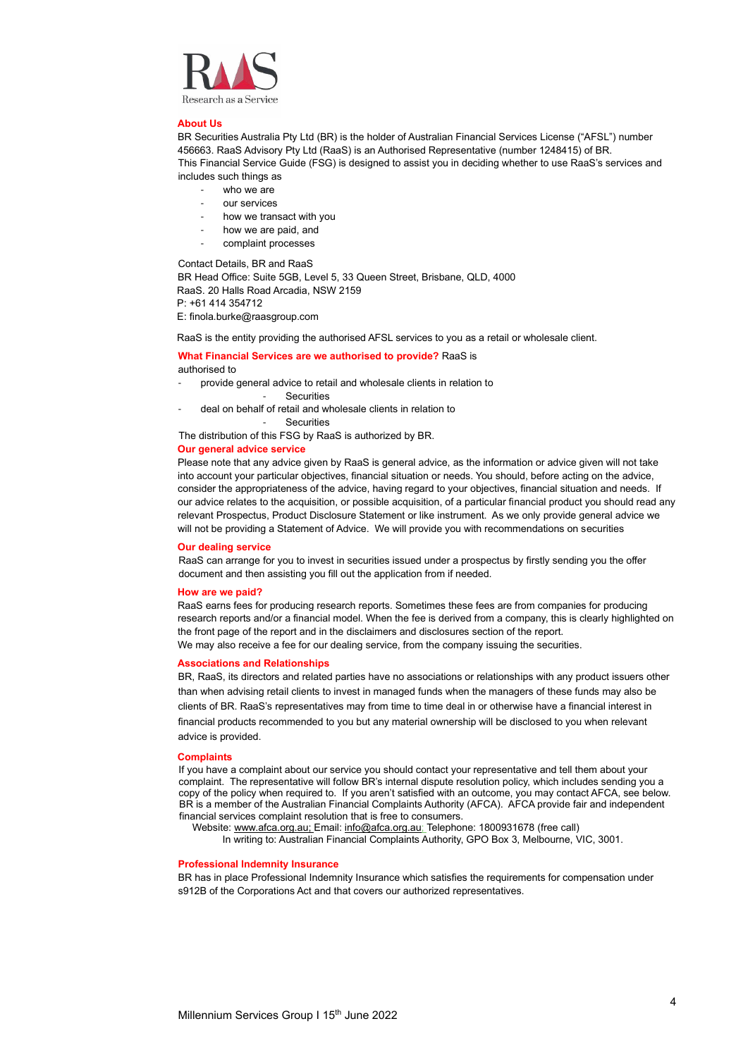

### **About Us**

BR Securities Australia Pty Ltd (BR) is the holder of Australian Financial Services License ("AFSL") number 456663. RaaS Advisory Pty Ltd (RaaS) is an Authorised Representative (number 1248415) of BR. This Financial Service Guide (FSG) is designed to assist you in deciding whether to use RaaS's services and includes such things as

- who we are
- our services
- how we transact with you
- how we are paid, and
- complaint processes

Contact Details, BR and RaaS

BR Head Office: Suite 5GB, Level 5, 33 Queen Street, Brisbane, QLD, 4000 RaaS. 20 Halls Road Arcadia, NSW 2159 P: +61 414 354712

E: finola.burke@raasgroup.com

RaaS is the entity providing the authorised AFSL services to you as a retail or wholesale client.

### **What Financial Services are we authorised to provide?** RaaS is authorised to

- provide general advice to retail and wholesale clients in relation to
	- Securities
- deal on behalf of retail and wholesale clients in relation to

**Securities** 

The distribution of this FSG by RaaS is authorized by BR.

### **Our general advice service**

Please note that any advice given by RaaS is general advice, as the information or advice given will not take into account your particular objectives, financial situation or needs. You should, before acting on the advice, consider the appropriateness of the advice, having regard to your objectives, financial situation and needs. If our advice relates to the acquisition, or possible acquisition, of a particular financial product you should read any relevant Prospectus, Product Disclosure Statement or like instrument. As we only provide general advice we will not be providing a Statement of Advice. We will provide you with recommendations on securities

### **Our dealing service**

RaaS can arrange for you to invest in securities issued under a prospectus by firstly sending you the offer document and then assisting you fill out the application from if needed.

### **How are we paid?**

RaaS earns fees for producing research reports. Sometimes these fees are from companies for producing research reports and/or a financial model. When the fee is derived from a company, this is clearly highlighted on the front page of the report and in the disclaimers and disclosures section of the report. We may also receive a fee for our dealing service, from the company issuing the securities.

### **Associations and Relationships**

BR, RaaS, its directors and related parties have no associations or relationships with any product issuers other than when advising retail clients to invest in managed funds when the managers of these funds may also be clients of BR. RaaS's representatives may from time to time deal in or otherwise have a financial interest in financial products recommended to you but any material ownership will be disclosed to you when relevant advice is provided.

#### **Complaints**

If you have a complaint about our service you should contact your representative and tell them about your complaint. The representative will follow BR's internal dispute resolution policy, which includes sending you a copy of the policy when required to. If you aren't satisfied with an outcome, you may contact AFCA, see below. BR is a member of the Australian Financial Complaints Authority (AFCA). AFCA provide fair and independent financial services complaint resolution that is free to consumers.

Website[: www.afca.org.au;](about:blank) Email[: info@afca.org.au;](about:blank) Telephone: 1800931678 (free call)

In writing to: Australian Financial Complaints Authority, GPO Box 3, Melbourne, VIC, 3001.

### **Professional Indemnity Insurance**

BR has in place Professional Indemnity Insurance which satisfies the requirements for compensation under s912B of the Corporations Act and that covers our authorized representatives.